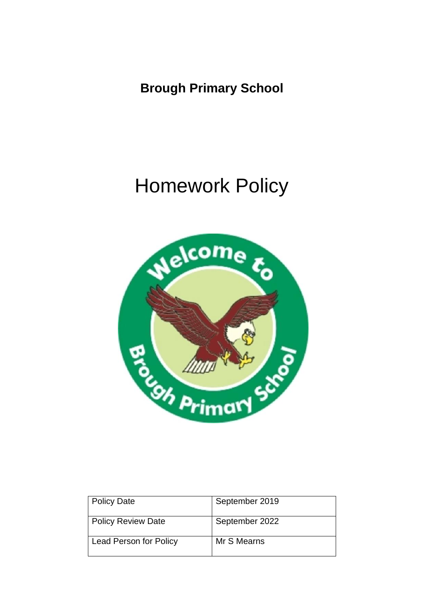**Brough Primary School**

# Homework Policy



| Policy Date                   | September 2019 |
|-------------------------------|----------------|
| Policy Review Date            | September 2022 |
| <b>Lead Person for Policy</b> | Mr S Mearns    |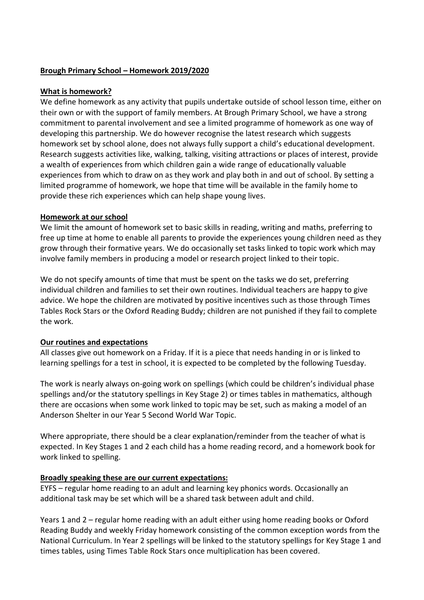### **Brough Primary School – Homework 2019/2020**

#### **What is homework?**

We define homework as any activity that pupils undertake outside of school lesson time, either on their own or with the support of family members. At Brough Primary School, we have a strong commitment to parental involvement and see a limited programme of homework as one way of developing this partnership. We do however recognise the latest research which suggests homework set by school alone, does not always fully support a child's educational development. Research suggests activities like, walking, talking, visiting attractions or places of interest, provide a wealth of experiences from which children gain a wide range of educationally valuable experiences from which to draw on as they work and play both in and out of school. By setting a limited programme of homework, we hope that time will be available in the family home to provide these rich experiences which can help shape young lives.

#### **Homework at our school**

We limit the amount of homework set to basic skills in reading, writing and maths, preferring to free up time at home to enable all parents to provide the experiences young children need as they grow through their formative years. We do occasionally set tasks linked to topic work which may involve family members in producing a model or research project linked to their topic.

We do not specify amounts of time that must be spent on the tasks we do set, preferring individual children and families to set their own routines. Individual teachers are happy to give advice. We hope the children are motivated by positive incentives such as those through Times Tables Rock Stars or the Oxford Reading Buddy; children are not punished if they fail to complete the work.

#### **Our routines and expectations**

All classes give out homework on a Friday. If it is a piece that needs handing in or is linked to learning spellings for a test in school, it is expected to be completed by the following Tuesday.

The work is nearly always on-going work on spellings (which could be children's individual phase spellings and/or the statutory spellings in Key Stage 2) or times tables in mathematics, although there are occasions when some work linked to topic may be set, such as making a model of an Anderson Shelter in our Year 5 Second World War Topic.

Where appropriate, there should be a clear explanation/reminder from the teacher of what is expected. In Key Stages 1 and 2 each child has a home reading record, and a homework book for work linked to spelling.

#### **Broadly speaking these are our current expectations:**

EYFS – regular home reading to an adult and learning key phonics words. Occasionally an additional task may be set which will be a shared task between adult and child.

Years 1 and 2 – regular home reading with an adult either using home reading books or Oxford Reading Buddy and weekly Friday homework consisting of the common exception words from the National Curriculum. In Year 2 spellings will be linked to the statutory spellings for Key Stage 1 and times tables, using Times Table Rock Stars once multiplication has been covered.